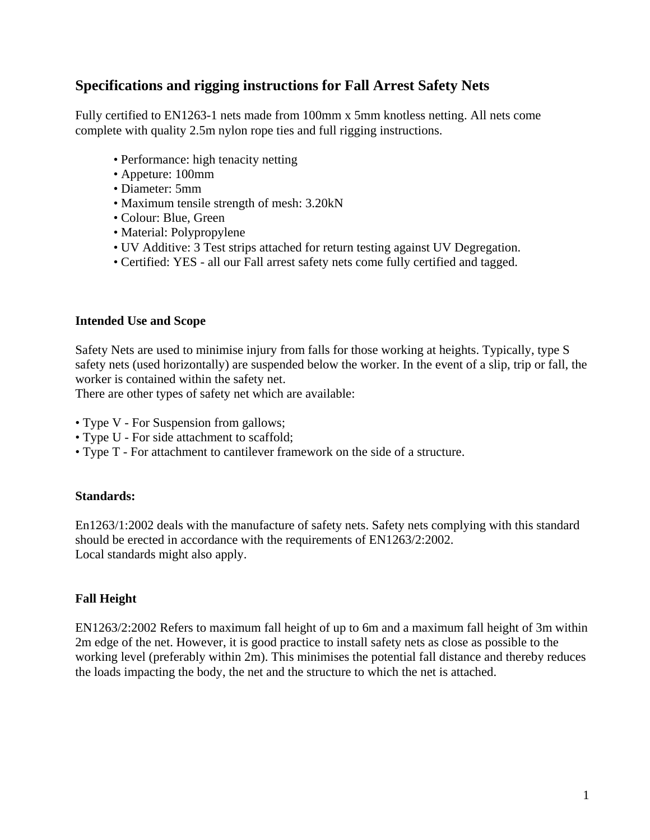# **Specifications and rigging instructions for Fall Arrest Safety Nets**

Fully certified to EN1263-1 nets made from 100mm x 5mm knotless netting. All nets come complete with quality 2.5m nylon rope ties and full rigging instructions.

- Performance: high tenacity netting
- Appeture: 100mm
- Diameter: 5mm
- Maximum tensile strength of mesh: 3.20kN
- Colour: Blue, Green
- Material: Polypropylene
- UV Additive: 3 Test strips attached for return testing against UV Degregation.
- Certified: YES all our Fall arrest safety nets come fully certified and tagged.

#### **Intended Use and Scope**

Safety Nets are used to minimise injury from falls for those working at heights. Typically, type S safety nets (used horizontally) are suspended below the worker. In the event of a slip, trip or fall, the worker is contained within the safety net.

There are other types of safety net which are available:

- Type V For Suspension from gallows;
- Type U For side attachment to scaffold;
- Type T For attachment to cantilever framework on the side of a structure.

## **Standards:**

En1263/1:2002 deals with the manufacture of safety nets. Safety nets complying with this standard should be erected in accordance with the requirements of EN1263/2:2002. Local standards might also apply.

## **Fall Height**

EN1263/2:2002 Refers to maximum fall height of up to 6m and a maximum fall height of 3m within 2m edge of the net. However, it is good practice to install safety nets as close as possible to the working level (preferably within 2m). This minimises the potential fall distance and thereby reduces the loads impacting the body, the net and the structure to which the net is attached.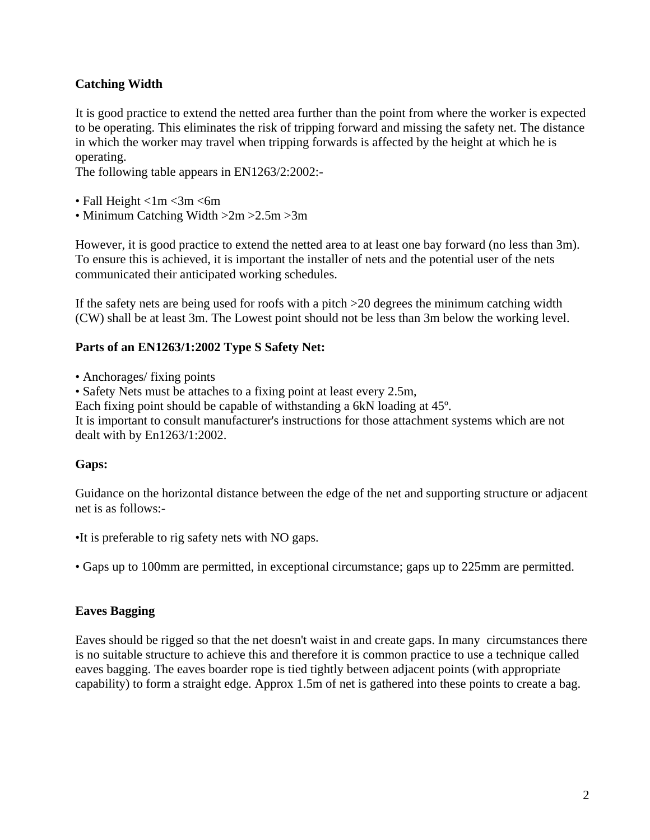## **Catching Width**

It is good practice to extend the netted area further than the point from where the worker is expected to be operating. This eliminates the risk of tripping forward and missing the safety net. The distance in which the worker may travel when tripping forwards is affected by the height at which he is operating.

The following table appears in EN1263/2:2002:-

- Fall Height  $\langle 1m \langle 3m \langle 6m \rangle$
- Minimum Catching Width >2m >2.5m >3m

However, it is good practice to extend the netted area to at least one bay forward (no less than 3m). To ensure this is achieved, it is important the installer of nets and the potential user of the nets communicated their anticipated working schedules.

If the safety nets are being used for roofs with a pitch >20 degrees the minimum catching width (CW) shall be at least 3m. The Lowest point should not be less than 3m below the working level.

#### **Parts of an EN1263/1:2002 Type S Safety Net:**

• Anchorages/ fixing points

• Safety Nets must be attaches to a fixing point at least every 2.5m,

Each fixing point should be capable of withstanding a 6kN loading at 45º.

It is important to consult manufacturer's instructions for those attachment systems which are not dealt with by En1263/1:2002.

## **Gaps:**

Guidance on the horizontal distance between the edge of the net and supporting structure or adjacent net is as follows:-

•It is preferable to rig safety nets with NO gaps.

• Gaps up to 100mm are permitted, in exceptional circumstance; gaps up to 225mm are permitted.

## **Eaves Bagging**

Eaves should be rigged so that the net doesn't waist in and create gaps. In many circumstances there is no suitable structure to achieve this and therefore it is common practice to use a technique called eaves bagging. The eaves boarder rope is tied tightly between adjacent points (with appropriate capability) to form a straight edge. Approx 1.5m of net is gathered into these points to create a bag.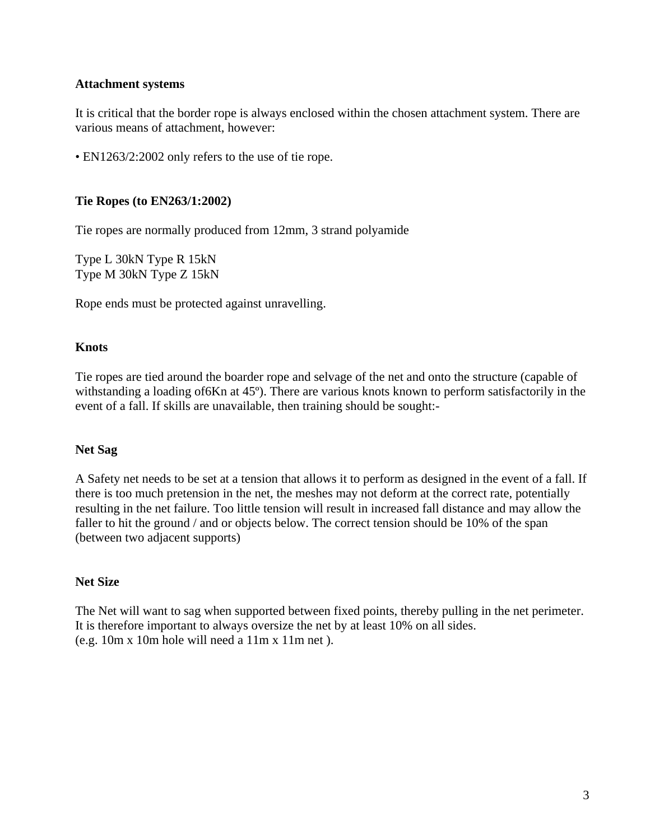#### **Attachment systems**

It is critical that the border rope is always enclosed within the chosen attachment system. There are various means of attachment, however:

• EN1263/2:2002 only refers to the use of tie rope.

#### **Tie Ropes (to EN263/1:2002)**

Tie ropes are normally produced from 12mm, 3 strand polyamide

Type L 30kN Type R 15kN Type M 30kN Type Z 15kN

Rope ends must be protected against unravelling.

#### **Knots**

Tie ropes are tied around the boarder rope and selvage of the net and onto the structure (capable of withstanding a loading of 6Kn at 45°). There are various knots known to perform satisfactorily in the event of a fall. If skills are unavailable, then training should be sought:-

#### **Net Sag**

A Safety net needs to be set at a tension that allows it to perform as designed in the event of a fall. If there is too much pretension in the net, the meshes may not deform at the correct rate, potentially resulting in the net failure. Too little tension will result in increased fall distance and may allow the faller to hit the ground / and or objects below. The correct tension should be 10% of the span (between two adjacent supports)

#### **Net Size**

The Net will want to sag when supported between fixed points, thereby pulling in the net perimeter. It is therefore important to always oversize the net by at least 10% on all sides. (e.g. 10m x 10m hole will need a 11m x 11m net ).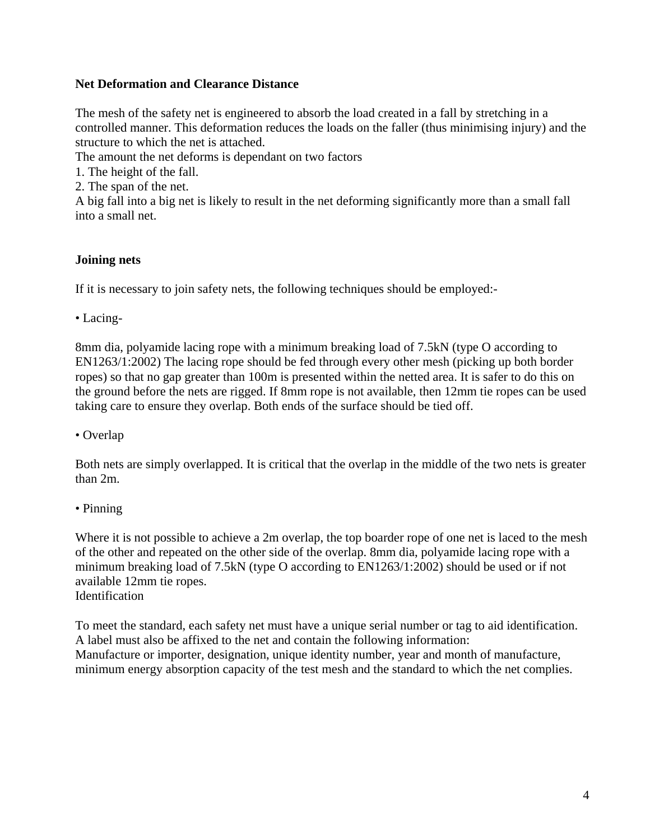## **Net Deformation and Clearance Distance**

The mesh of the safety net is engineered to absorb the load created in a fall by stretching in a controlled manner. This deformation reduces the loads on the faller (thus minimising injury) and the structure to which the net is attached.

The amount the net deforms is dependant on two factors

1. The height of the fall.

2. The span of the net.

A big fall into a big net is likely to result in the net deforming significantly more than a small fall into a small net.

## **Joining nets**

If it is necessary to join safety nets, the following techniques should be employed:-

• Lacing-

8mm dia, polyamide lacing rope with a minimum breaking load of 7.5kN (type O according to EN1263/1:2002) The lacing rope should be fed through every other mesh (picking up both border ropes) so that no gap greater than 100m is presented within the netted area. It is safer to do this on the ground before the nets are rigged. If 8mm rope is not available, then 12mm tie ropes can be used taking care to ensure they overlap. Both ends of the surface should be tied off.

• Overlap

Both nets are simply overlapped. It is critical that the overlap in the middle of the two nets is greater than 2m.

• Pinning

Where it is not possible to achieve a 2m overlap, the top boarder rope of one net is laced to the mesh of the other and repeated on the other side of the overlap. 8mm dia, polyamide lacing rope with a minimum breaking load of 7.5kN (type O according to EN1263/1:2002) should be used or if not available 12mm tie ropes. Identification

To meet the standard, each safety net must have a unique serial number or tag to aid identification. A label must also be affixed to the net and contain the following information: Manufacture or importer, designation, unique identity number, year and month of manufacture, minimum energy absorption capacity of the test mesh and the standard to which the net complies.